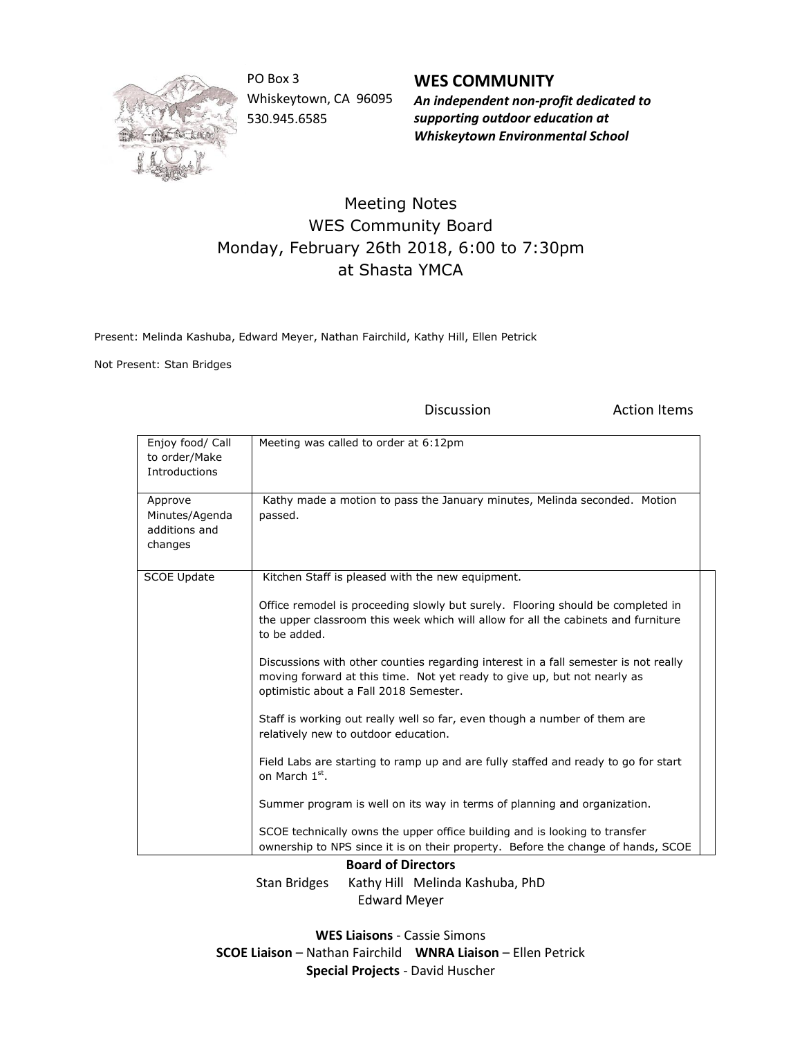

PO Box 3 Whiskeytown, CA 96095 530.945.6585

**WES COMMUNITY** *An independent non-profit dedicated to supporting outdoor education at Whiskeytown Environmental School*

## Meeting Notes WES Community Board Monday, February 26th 2018, 6:00 to 7:30pm at Shasta YMCA

Present: Melinda Kashuba, Edward Meyer, Nathan Fairchild, Kathy Hill, Ellen Petrick

Not Present: Stan Bridges

Discussion **Action** Items

| Enjoy food/ Call<br>to order/Make<br>Introductions    | Meeting was called to order at 6:12pm                                                                                                                                                                     |
|-------------------------------------------------------|-----------------------------------------------------------------------------------------------------------------------------------------------------------------------------------------------------------|
| Approve<br>Minutes/Agenda<br>additions and<br>changes | Kathy made a motion to pass the January minutes, Melinda seconded. Motion<br>passed.                                                                                                                      |
| <b>SCOE Update</b>                                    | Kitchen Staff is pleased with the new equipment.                                                                                                                                                          |
|                                                       | Office remodel is proceeding slowly but surely. Flooring should be completed in<br>the upper classroom this week which will allow for all the cabinets and furniture<br>to be added.                      |
|                                                       | Discussions with other counties regarding interest in a fall semester is not really<br>moving forward at this time. Not yet ready to give up, but not nearly as<br>optimistic about a Fall 2018 Semester. |
|                                                       | Staff is working out really well so far, even though a number of them are<br>relatively new to outdoor education.                                                                                         |
|                                                       | Field Labs are starting to ramp up and are fully staffed and ready to go for start<br>on March 1 <sup>st</sup> .                                                                                          |
|                                                       | Summer program is well on its way in terms of planning and organization.                                                                                                                                  |
|                                                       | SCOE technically owns the upper office building and is looking to transfer<br>ownership to NPS since it is on their property. Before the change of hands, SCOE                                            |

**Board of Directors** Stan Bridges Kathy Hill Melinda Kashuba, PhD Edward Meyer

**WES Liaisons** - Cassie Simons **SCOE Liaison** – Nathan Fairchild **WNRA Liaison** – Ellen Petrick **Special Projects** - David Huscher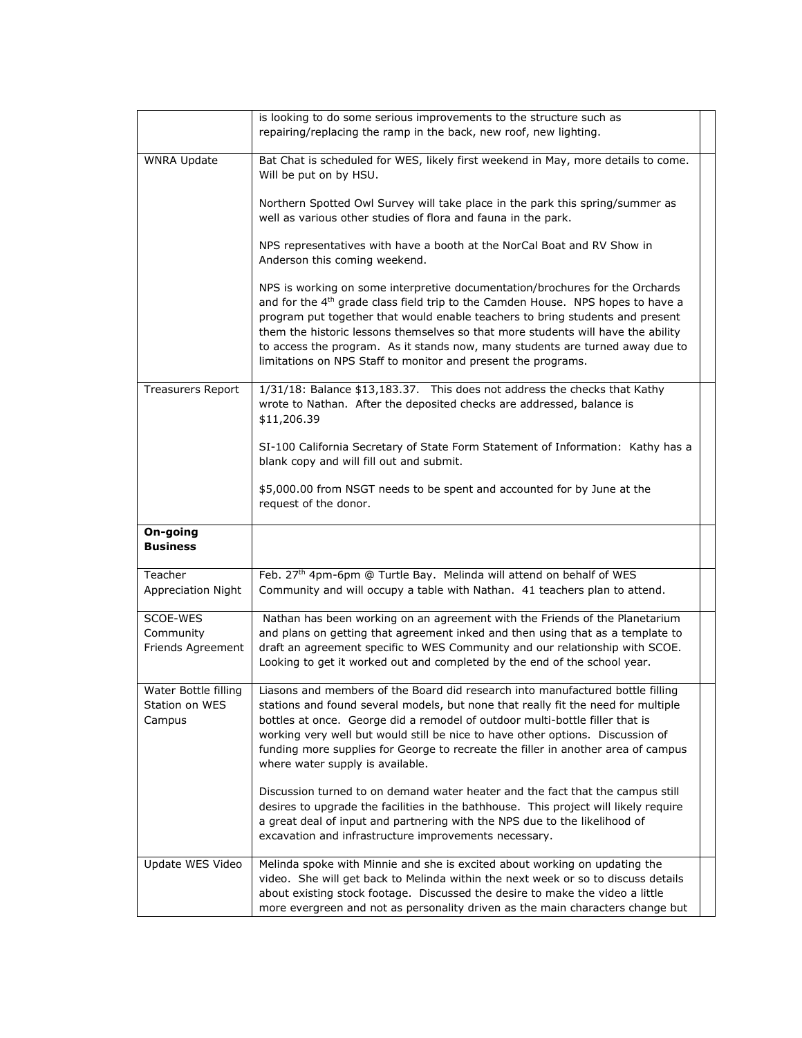|                             | is looking to do some serious improvements to the structure such as                                                                                                                                                                                                                                                                                                                                                                                                                                |
|-----------------------------|----------------------------------------------------------------------------------------------------------------------------------------------------------------------------------------------------------------------------------------------------------------------------------------------------------------------------------------------------------------------------------------------------------------------------------------------------------------------------------------------------|
|                             | repairing/replacing the ramp in the back, new roof, new lighting.                                                                                                                                                                                                                                                                                                                                                                                                                                  |
| <b>WNRA Update</b>          | Bat Chat is scheduled for WES, likely first weekend in May, more details to come.<br>Will be put on by HSU.                                                                                                                                                                                                                                                                                                                                                                                        |
|                             | Northern Spotted Owl Survey will take place in the park this spring/summer as<br>well as various other studies of flora and fauna in the park.                                                                                                                                                                                                                                                                                                                                                     |
|                             | NPS representatives with have a booth at the NorCal Boat and RV Show in<br>Anderson this coming weekend.                                                                                                                                                                                                                                                                                                                                                                                           |
|                             | NPS is working on some interpretive documentation/brochures for the Orchards<br>and for the 4 <sup>th</sup> grade class field trip to the Camden House. NPS hopes to have a<br>program put together that would enable teachers to bring students and present<br>them the historic lessons themselves so that more students will have the ability<br>to access the program. As it stands now, many students are turned away due to<br>limitations on NPS Staff to monitor and present the programs. |
| <b>Treasurers Report</b>    | 1/31/18: Balance \$13,183.37. This does not address the checks that Kathy<br>wrote to Nathan. After the deposited checks are addressed, balance is<br>\$11,206.39                                                                                                                                                                                                                                                                                                                                  |
|                             | SI-100 California Secretary of State Form Statement of Information: Kathy has a<br>blank copy and will fill out and submit.                                                                                                                                                                                                                                                                                                                                                                        |
|                             | \$5,000.00 from NSGT needs to be spent and accounted for by June at the<br>request of the donor.                                                                                                                                                                                                                                                                                                                                                                                                   |
| On-going<br><b>Business</b> |                                                                                                                                                                                                                                                                                                                                                                                                                                                                                                    |
| Teacher                     | Feb. 27 <sup>th</sup> 4pm-6pm @ Turtle Bay. Melinda will attend on behalf of WES                                                                                                                                                                                                                                                                                                                                                                                                                   |
| Appreciation Night          | Community and will occupy a table with Nathan. 41 teachers plan to attend.                                                                                                                                                                                                                                                                                                                                                                                                                         |
| SCOE-WES                    | Nathan has been working on an agreement with the Friends of the Planetarium                                                                                                                                                                                                                                                                                                                                                                                                                        |
| Community                   | and plans on getting that agreement inked and then using that as a template to                                                                                                                                                                                                                                                                                                                                                                                                                     |
| Friends Agreement           | draft an agreement specific to WES Community and our relationship with SCOE.                                                                                                                                                                                                                                                                                                                                                                                                                       |
|                             | Looking to get it worked out and completed by the end of the school year.                                                                                                                                                                                                                                                                                                                                                                                                                          |
| Water Bottle filling        | Liasons and members of the Board did research into manufactured bottle filling                                                                                                                                                                                                                                                                                                                                                                                                                     |
| Station on WES              |                                                                                                                                                                                                                                                                                                                                                                                                                                                                                                    |
| Campus                      |                                                                                                                                                                                                                                                                                                                                                                                                                                                                                                    |
|                             | stations and found several models, but none that really fit the need for multiple                                                                                                                                                                                                                                                                                                                                                                                                                  |
|                             | bottles at once. George did a remodel of outdoor multi-bottle filler that is                                                                                                                                                                                                                                                                                                                                                                                                                       |
|                             | working very well but would still be nice to have other options. Discussion of                                                                                                                                                                                                                                                                                                                                                                                                                     |
|                             | funding more supplies for George to recreate the filler in another area of campus<br>where water supply is available.                                                                                                                                                                                                                                                                                                                                                                              |
|                             |                                                                                                                                                                                                                                                                                                                                                                                                                                                                                                    |
|                             | Discussion turned to on demand water heater and the fact that the campus still<br>desires to upgrade the facilities in the bathhouse. This project will likely require<br>a great deal of input and partnering with the NPS due to the likelihood of<br>excavation and infrastructure improvements necessary.                                                                                                                                                                                      |
|                             |                                                                                                                                                                                                                                                                                                                                                                                                                                                                                                    |
| Update WES Video            | Melinda spoke with Minnie and she is excited about working on updating the                                                                                                                                                                                                                                                                                                                                                                                                                         |
|                             | video. She will get back to Melinda within the next week or so to discuss details<br>about existing stock footage. Discussed the desire to make the video a little                                                                                                                                                                                                                                                                                                                                 |